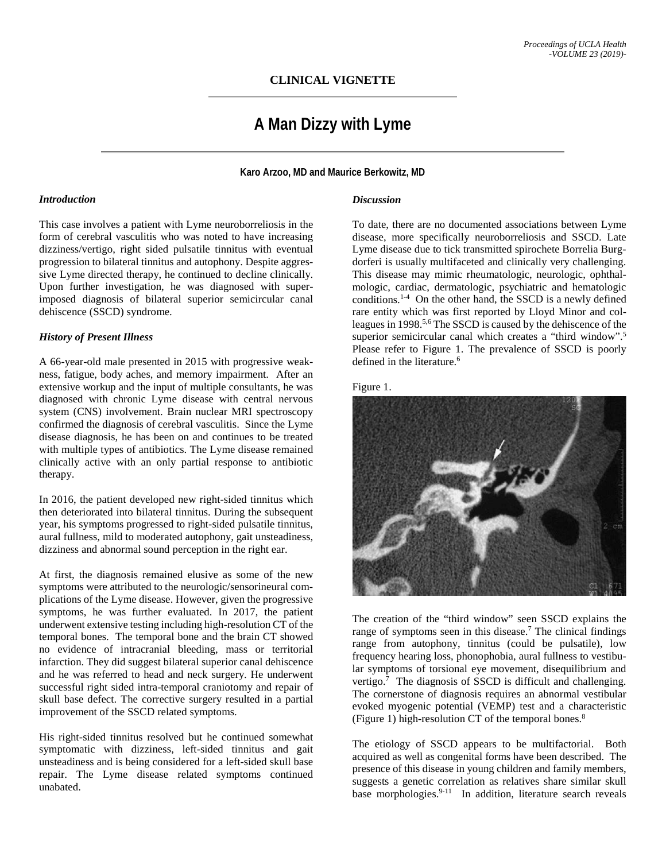## **CLINICAL VIGNETTE**

# **A Man Dizzy with Lyme**

**Karo Arzoo, MD and Maurice Berkowitz, MD**

#### *Introduction*

This case involves a patient with Lyme neuroborreliosis in the form of cerebral vasculitis who was noted to have increasing dizziness/vertigo, right sided pulsatile tinnitus with eventual progression to bilateral tinnitus and autophony. Despite aggressive Lyme directed therapy, he continued to decline clinically. Upon further investigation, he was diagnosed with superimposed diagnosis of bilateral superior semicircular canal dehiscence (SSCD) syndrome.

### *History of Present Illness*

A 66-year-old male presented in 2015 with progressive weakness, fatigue, body aches, and memory impairment. After an extensive workup and the input of multiple consultants, he was diagnosed with chronic Lyme disease with central nervous system (CNS) involvement. Brain nuclear MRI spectroscopy confirmed the diagnosis of cerebral vasculitis. Since the Lyme disease diagnosis, he has been on and continues to be treated with multiple types of antibiotics. The Lyme disease remained clinically active with an only partial response to antibiotic therapy.

In 2016, the patient developed new right-sided tinnitus which then deteriorated into bilateral tinnitus. During the subsequent year, his symptoms progressed to right-sided pulsatile tinnitus, aural fullness, mild to moderated autophony, gait unsteadiness, dizziness and abnormal sound perception in the right ear.

At first, the diagnosis remained elusive as some of the new symptoms were attributed to the neurologic/sensorineural complications of the Lyme disease. However, given the progressive symptoms, he was further evaluated. In 2017, the patient underwent extensive testing including high-resolution CT of the temporal bones. The temporal bone and the brain CT showed no evidence of intracranial bleeding, mass or territorial infarction. They did suggest bilateral superior canal dehiscence and he was referred to head and neck surgery. He underwent successful right sided intra-temporal craniotomy and repair of skull base defect. The corrective surgery resulted in a partial improvement of the SSCD related symptoms.

His right-sided tinnitus resolved but he continued somewhat symptomatic with dizziness, left-sided tinnitus and gait unsteadiness and is being considered for a left-sided skull base repair. The Lyme disease related symptoms continued unabated.

#### *Discussion*

To date, there are no documented associations between Lyme disease, more specifically neuroborreliosis and SSCD. Late Lyme disease due to tick transmitted spirochete Borrelia Burgdorferi is usually multifaceted and clinically very challenging. This disease may mimic rheumatologic, neurologic, ophthalmologic, cardiac, dermatologic, psychiatric and hematologic conditions.<sup>1-4</sup> On the other hand, the SSCD is a newly defined rare entity which was first reported by Lloyd Minor and colleagues in 1998.5,6 The SSCD is caused by the dehiscence of the superior semicircular canal which creates a "third window".<sup>5</sup> Please refer to Figure 1. The prevalence of SSCD is poorly defined in the literature.<sup>6</sup>

Figure 1.



The creation of the "third window" seen SSCD explains the range of symptoms seen in this disease.<sup>7</sup> The clinical findings range from autophony, tinnitus (could be pulsatile), low frequency hearing loss, phonophobia, aural fullness to vestibular symptoms of torsional eye movement, disequilibrium and vertigo.<sup>7</sup> The diagnosis of SSCD is difficult and challenging. The cornerstone of diagnosis requires an abnormal vestibular evoked myogenic potential (VEMP) test and a characteristic (Figure 1) high-resolution CT of the temporal bones.8

The etiology of SSCD appears to be multifactorial. Both acquired as well as congenital forms have been described. The presence of this disease in young children and family members, suggests a genetic correlation as relatives share similar skull base morphologies.<sup>9-11</sup> In addition, literature search reveals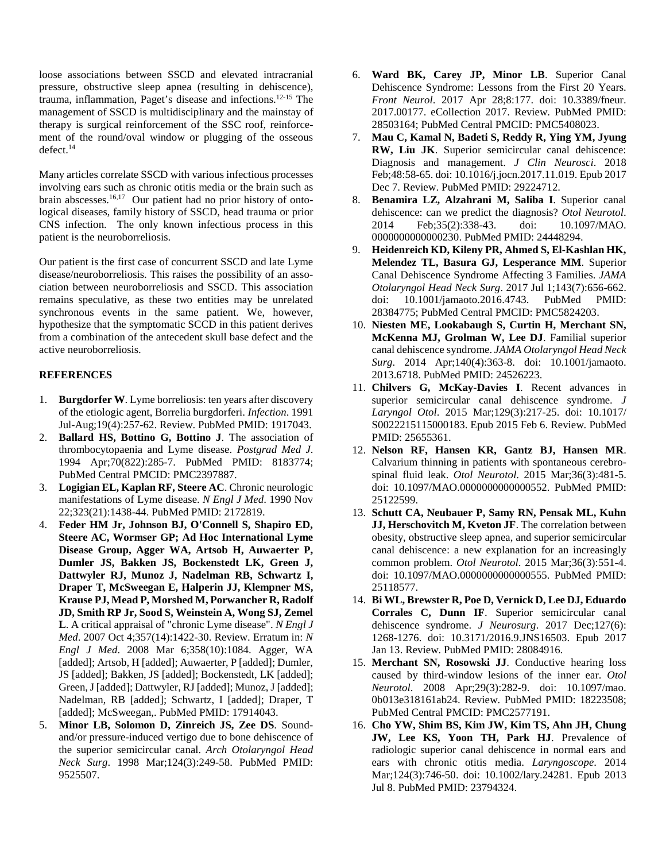loose associations between SSCD and elevated intracranial pressure, obstructive sleep apnea (resulting in dehiscence), trauma, inflammation, Paget's disease and infections.12-15 The management of SSCD is multidisciplinary and the mainstay of therapy is surgical reinforcement of the SSC roof, reinforcement of the round/oval window or plugging of the osseous defect.<sup>14</sup>

Many articles correlate SSCD with various infectious processes involving ears such as chronic otitis media or the brain such as brain abscesses.<sup>16,17</sup> Our patient had no prior history of ontological diseases, family history of SSCD, head trauma or prior CNS infection. The only known infectious process in this patient is the neuroborreliosis.

Our patient is the first case of concurrent SSCD and late Lyme disease/neuroborreliosis. This raises the possibility of an association between neuroborreliosis and SSCD. This association remains speculative, as these two entities may be unrelated synchronous events in the same patient. We, however, hypothesize that the symptomatic SCCD in this patient derives from a combination of the antecedent skull base defect and the active neuroborreliosis.

### **REFERENCES**

- 1. **Burgdorfer W**. Lyme borreliosis: ten years after discovery of the etiologic agent, Borrelia burgdorferi. *Infection*. 1991 Jul-Aug;19(4):257-62. Review. PubMed PMID: 1917043.
- 2. **Ballard HS, Bottino G, Bottino J**. The association of thrombocytopaenia and Lyme disease. *Postgrad Med J*. 1994 Apr;70(822):285-7. PubMed PMID: 8183774; PubMed Central PMCID: PMC2397887.
- 3. **Logigian EL, Kaplan RF, Steere AC**. Chronic neurologic manifestations of Lyme disease. *N Engl J Med*. 1990 Nov 22;323(21):1438-44. PubMed PMID: 2172819.
- 4. **Feder HM Jr, Johnson BJ, O'Connell S, Shapiro ED, Steere AC, Wormser GP; Ad Hoc International Lyme Disease Group, Agger WA, Artsob H, Auwaerter P, Dumler JS, Bakken JS, Bockenstedt LK, Green J, Dattwyler RJ, Munoz J, Nadelman RB, Schwartz I, Draper T, McSweegan E, Halperin JJ, Klempner MS, Krause PJ, Mead P, Morshed M, Porwancher R, Radolf JD, Smith RP Jr, Sood S, Weinstein A, Wong SJ, Zemel L**. A critical appraisal of "chronic Lyme disease". *N Engl J Med*. 2007 Oct 4;357(14):1422-30. Review. Erratum in: *N Engl J Med*. 2008 Mar 6;358(10):1084. Agger, WA [added]; Artsob, H [added]; Auwaerter, P [added]; Dumler, JS [added]; Bakken, JS [added]; Bockenstedt, LK [added]; Green, J [added]; Dattwyler, RJ [added]; Munoz, J [added]; Nadelman, RB [added]; Schwartz, I [added]; Draper, T [added]; McSweegan,. PubMed PMID: 17914043.
- 5. **Minor LB, Solomon D, Zinreich JS, Zee DS**. Soundand/or pressure-induced vertigo due to bone dehiscence of the superior semicircular canal. *Arch Otolaryngol Head Neck Surg*. 1998 Mar;124(3):249-58. PubMed PMID: 9525507.
- 6. **Ward BK, Carey JP, Minor LB**. Superior Canal Dehiscence Syndrome: Lessons from the First 20 Years. *Front Neurol*. 2017 Apr 28;8:177. doi: 10.3389/fneur. 2017.00177. eCollection 2017. Review. PubMed PMID: 28503164; PubMed Central PMCID: PMC5408023.
- 7. **Mau C, Kamal N, Badeti S, Reddy R, Ying YM, Jyung RW, Liu JK**. Superior semicircular canal dehiscence: Diagnosis and management. *J Clin Neurosci*. 2018 Feb;48:58-65. doi: 10.1016/j.jocn.2017.11.019. Epub 2017 Dec 7. Review. PubMed PMID: 29224712.
- 8. **Benamira LZ, Alzahrani M, Saliba I**. Superior canal dehiscence: can we predict the diagnosis? *Otol Neurotol*. 2014 Feb;35(2):338-43. doi: 10.1097/MAO. 0000000000000230. PubMed PMID: 24448294.
- 9. **Heidenreich KD, Kileny PR, Ahmed S, El-Kashlan HK, Melendez TL, Basura GJ, Lesperance MM**. Superior Canal Dehiscence Syndrome Affecting 3 Families. *JAMA Otolaryngol Head Neck Surg*. 2017 Jul 1;143(7):656-662. doi: 10.1001/jamaoto.2016.4743. PubMed PMID: 28384775; PubMed Central PMCID: PMC5824203.
- 10. **Niesten ME, Lookabaugh S, Curtin H, Merchant SN, McKenna MJ, Grolman W, Lee DJ**. Familial superior canal dehiscence syndrome. *JAMA Otolaryngol Head Neck Surg*. 2014 Apr;140(4):363-8. doi: 10.1001/jamaoto. 2013.6718. PubMed PMID: 24526223.
- 11. **Chilvers G, McKay-Davies I**. Recent advances in superior semicircular canal dehiscence syndrome. *J Laryngol Otol*. 2015 Mar;129(3):217-25. doi: 10.1017/ S0022215115000183. Epub 2015 Feb 6. Review. PubMed PMID: 25655361.
- 12. **Nelson RF, Hansen KR, Gantz BJ, Hansen MR**. Calvarium thinning in patients with spontaneous cerebrospinal fluid leak. *Otol Neurotol*. 2015 Mar;36(3):481-5. doi: 10.1097/MAO.0000000000000552. PubMed PMID: 25122599.
- 13. **Schutt CA, Neubauer P, Samy RN, Pensak ML, Kuhn JJ, Herschovitch M, Kveton JF**. The correlation between obesity, obstructive sleep apnea, and superior semicircular canal dehiscence: a new explanation for an increasingly common problem. *Otol Neurotol*. 2015 Mar;36(3):551-4. doi: 10.1097/MAO.0000000000000555. PubMed PMID: 25118577.
- 14. **Bi WL, Brewster R, Poe D, Vernick D, Lee DJ, Eduardo Corrales C, Dunn IF**. Superior semicircular canal dehiscence syndrome. *J Neurosurg*. 2017 Dec;127(6): 1268-1276. doi: 10.3171/2016.9.JNS16503. Epub 2017 Jan 13. Review. PubMed PMID: 28084916.
- 15. **Merchant SN, Rosowski JJ**. Conductive hearing loss caused by third-window lesions of the inner ear. *Otol Neurotol*. 2008 Apr;29(3):282-9. doi: 10.1097/mao. 0b013e318161ab24. Review. PubMed PMID: 18223508; PubMed Central PMCID: PMC2577191.
- 16. **Cho YW, Shim BS, Kim JW, Kim TS, Ahn JH, Chung JW, Lee KS, Yoon TH, Park HJ**. Prevalence of radiologic superior canal dehiscence in normal ears and ears with chronic otitis media. *Laryngoscope*. 2014 Mar;124(3):746-50. doi: 10.1002/lary.24281. Epub 2013 Jul 8. PubMed PMID: 23794324.